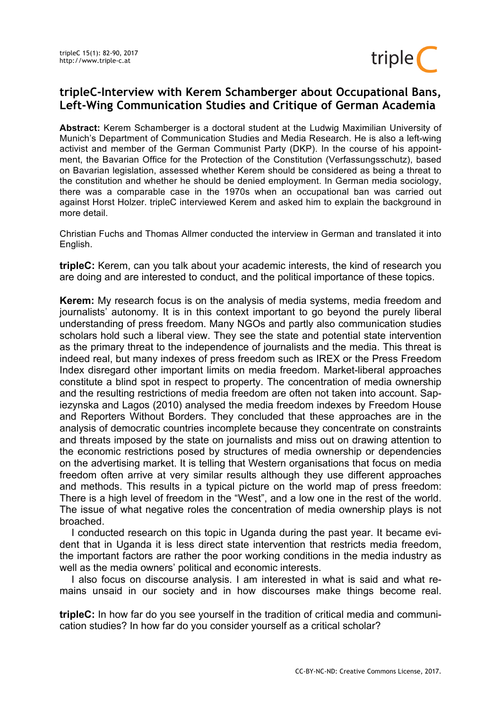

## **tripleC-Interview with Kerem Schamberger about Occupational Bans, Left-Wing Communication Studies and Critique of German Academia**

**Abstract:** Kerem Schamberger is a doctoral student at the Ludwig Maximilian University of Munich's Department of Communication Studies and Media Research. He is also a left-wing activist and member of the German Communist Party (DKP). In the course of his appointment, the Bavarian Office for the Protection of the Constitution (Verfassungsschutz), based on Bavarian legislation, assessed whether Kerem should be considered as being a threat to the constitution and whether he should be denied employment. In German media sociology, there was a comparable case in the 1970s when an occupational ban was carried out against Horst Holzer. tripleC interviewed Kerem and asked him to explain the background in more detail.

Christian Fuchs and Thomas Allmer conducted the interview in German and translated it into English.

**tripleC:** Kerem, can you talk about your academic interests, the kind of research you are doing and are interested to conduct, and the political importance of these topics.

**Kerem:** My research focus is on the analysis of media systems, media freedom and journalists' autonomy. It is in this context important to go beyond the purely liberal understanding of press freedom. Many NGOs and partly also communication studies scholars hold such a liberal view. They see the state and potential state intervention as the primary threat to the independence of journalists and the media. This threat is indeed real, but many indexes of press freedom such as IREX or the Press Freedom Index disregard other important limits on media freedom. Market-liberal approaches constitute a blind spot in respect to property. The concentration of media ownership and the resulting restrictions of media freedom are often not taken into account. Sapiezynska and Lagos (2010) analysed the media freedom indexes by Freedom House and Reporters Without Borders. They concluded that these approaches are in the analysis of democratic countries incomplete because they concentrate on constraints and threats imposed by the state on journalists and miss out on drawing attention to the economic restrictions posed by structures of media ownership or dependencies on the advertising market. It is telling that Western organisations that focus on media freedom often arrive at very similar results although they use different approaches and methods. This results in a typical picture on the world map of press freedom: There is a high level of freedom in the "West", and a low one in the rest of the world. The issue of what negative roles the concentration of media ownership plays is not broached.

I conducted research on this topic in Uganda during the past year. It became evident that in Uganda it is less direct state intervention that restricts media freedom, the important factors are rather the poor working conditions in the media industry as well as the media owners' political and economic interests.

I also focus on discourse analysis. I am interested in what is said and what remains unsaid in our society and in how discourses make things become real.

**tripleC:** In how far do you see yourself in the tradition of critical media and communication studies? In how far do you consider yourself as a critical scholar?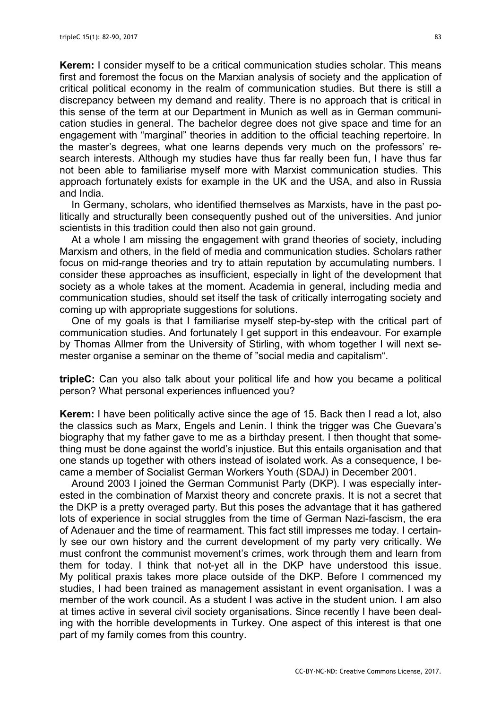**Kerem:** I consider myself to be a critical communication studies scholar. This means first and foremost the focus on the Marxian analysis of society and the application of critical political economy in the realm of communication studies. But there is still a discrepancy between my demand and reality. There is no approach that is critical in this sense of the term at our Department in Munich as well as in German communication studies in general. The bachelor degree does not give space and time for an engagement with "marginal" theories in addition to the official teaching repertoire. In the master's degrees, what one learns depends very much on the professors' research interests. Although my studies have thus far really been fun, I have thus far not been able to familiarise myself more with Marxist communication studies. This approach fortunately exists for example in the UK and the USA, and also in Russia and India.

In Germany, scholars, who identified themselves as Marxists, have in the past politically and structurally been consequently pushed out of the universities. And junior scientists in this tradition could then also not gain ground.

At a whole I am missing the engagement with grand theories of society, including Marxism and others, in the field of media and communication studies. Scholars rather focus on mid-range theories and try to attain reputation by accumulating numbers. I consider these approaches as insufficient, especially in light of the development that society as a whole takes at the moment. Academia in general, including media and communication studies, should set itself the task of critically interrogating society and coming up with appropriate suggestions for solutions.

One of my goals is that I familiarise myself step-by-step with the critical part of communication studies. And fortunately I get support in this endeavour. For example by Thomas Allmer from the University of Stirling, with whom together I will next semester organise a seminar on the theme of "social media and capitalism".

**tripleC:** Can you also talk about your political life and how you became a political person? What personal experiences influenced you?

**Kerem:** I have been politically active since the age of 15. Back then I read a lot, also the classics such as Marx, Engels and Lenin. I think the trigger was Che Guevara's biography that my father gave to me as a birthday present. I then thought that something must be done against the world's injustice. But this entails organisation and that one stands up together with others instead of isolated work. As a consequence, I became a member of Socialist German Workers Youth (SDAJ) in December 2001.

Around 2003 I joined the German Communist Party (DKP). I was especially interested in the combination of Marxist theory and concrete praxis. It is not a secret that the DKP is a pretty overaged party. But this poses the advantage that it has gathered lots of experience in social struggles from the time of German Nazi-fascism, the era of Adenauer and the time of rearmament. This fact still impresses me today. I certainly see our own history and the current development of my party very critically. We must confront the communist movement's crimes, work through them and learn from them for today. I think that not-yet all in the DKP have understood this issue. My political praxis takes more place outside of the DKP. Before I commenced my studies, I had been trained as management assistant in event organisation. I was a member of the work council. As a student I was active in the student union. I am also at times active in several civil society organisations. Since recently I have been dealing with the horrible developments in Turkey. One aspect of this interest is that one part of my family comes from this country.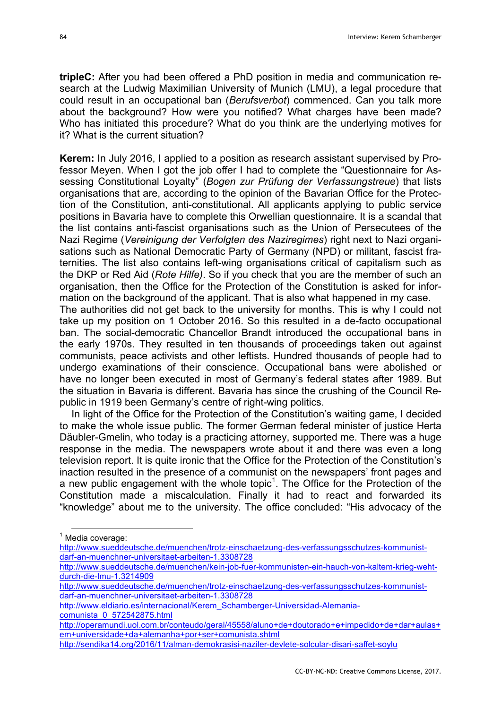**tripleC:** After you had been offered a PhD position in media and communication research at the Ludwig Maximilian University of Munich (LMU), a legal procedure that could result in an occupational ban (*Berufsverbot*) commenced. Can you talk more about the background? How were you notified? What charges have been made? Who has initiated this procedure? What do you think are the underlying motives for it? What is the current situation?

**Kerem:** In July 2016, I applied to a position as research assistant supervised by Professor Meven. When I got the job offer I had to complete the "Questionnaire for Assessing Constitutional Loyalty" (*Bogen zur Prüfung der Verfassungstreue*) that lists organisations that are, according to the opinion of the Bavarian Office for the Protection of the Constitution, anti-constitutional. All applicants applying to public service positions in Bavaria have to complete this Orwellian questionnaire. It is a scandal that the list contains anti-fascist organisations such as the Union of Persecutees of the Nazi Regime (*Vereinigung der Verfolgten des Naziregimes*) right next to Nazi organisations such as National Democratic Party of Germany (NPD) or militant, fascist fraternities. The list also contains left-wing organisations critical of capitalism such as the DKP or Red Aid (*Rote Hilfe)*. So if you check that you are the member of such an organisation, then the Office for the Protection of the Constitution is asked for information on the background of the applicant. That is also what happened in my case.

The authorities did not get back to the university for months. This is why I could not take up my position on 1 October 2016. So this resulted in a de-facto occupational ban. The social-democratic Chancellor Brandt introduced the occupational bans in the early 1970s. They resulted in ten thousands of proceedings taken out against communists, peace activists and other leftists. Hundred thousands of people had to undergo examinations of their conscience. Occupational bans were abolished or have no longer been executed in most of Germany's federal states after 1989. But the situation in Bavaria is different. Bavaria has since the crushing of the Council Republic in 1919 been Germany's centre of right-wing politics.

In light of the Office for the Protection of the Constitution's waiting game, I decided to make the whole issue public. The former German federal minister of justice Herta Däubler-Gmelin, who today is a practicing attorney, supported me. There was a huge response in the media. The newspapers wrote about it and there was even a long television report. It is quite ironic that the Office for the Protection of the Constitution's inaction resulted in the presence of a communist on the newspapers' front pages and a new public engagement with the whole topic<sup>1</sup>. The Office for the Protection of the Constitution made a miscalculation. Finally it had to react and forwarded its "knowledge" about me to the university. The office concluded: "His advocacy of the

 $1$  Media coverage:

http://www.sueddeutsche.de/muenchen/trotz-einschaetzung-des-verfassungsschutzes-kommunistdarf-an-muenchner-universitaet-arbeiten-1.3308728

http://www.sueddeutsche.de/muenchen/kein-job-fuer-kommunisten-ein-hauch-von-kaltem-krieg-wehtdurch-die-lmu-1.3214909

http://www.sueddeutsche.de/muenchen/trotz-einschaetzung-des-verfassungsschutzes-kommunistdarf-an-muenchner-universitaet-arbeiten-1.3308728

http://www.eldiario.es/internacional/Kerem\_Schamberger-Universidad-Alemaniacomunista\_0\_572542875.html

http://operamundi.uol.com.br/conteudo/geral/45558/aluno+de+doutorado+e+impedido+de+dar+aulas+ em+universidade+da+alemanha+por+ser+comunista.shtml

http://sendika14.org/2016/11/alman-demokrasisi-naziler-devlete-solcular-disari-saffet-soylu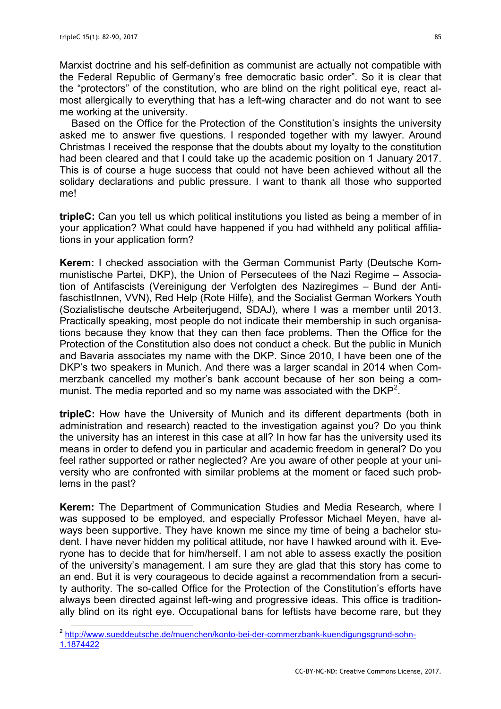Marxist doctrine and his self-definition as communist are actually not compatible with the Federal Republic of Germany's free democratic basic order". So it is clear that the "protectors" of the constitution, who are blind on the right political eye, react almost allergically to everything that has a left-wing character and do not want to see me working at the university.

Based on the Office for the Protection of the Constitution's insights the university asked me to answer five questions. I responded together with my lawyer. Around Christmas I received the response that the doubts about my loyalty to the constitution had been cleared and that I could take up the academic position on 1 January 2017. This is of course a huge success that could not have been achieved without all the solidary declarations and public pressure. I want to thank all those who supported me!

**tripleC:** Can you tell us which political institutions you listed as being a member of in your application? What could have happened if you had withheld any political affiliations in your application form?

**Kerem:** I checked association with the German Communist Party (Deutsche Kommunistische Partei, DKP), the Union of Persecutees of the Nazi Regime – Association of Antifascists (Vereinigung der Verfolgten des Naziregimes – Bund der AntifaschistInnen, VVN), Red Help (Rote Hilfe), and the Socialist German Workers Youth (Sozialistische deutsche Arbeiterjugend, SDAJ), where I was a member until 2013. Practically speaking, most people do not indicate their membership in such organisations because they know that they can then face problems. Then the Office for the Protection of the Constitution also does not conduct a check. But the public in Munich and Bavaria associates my name with the DKP. Since 2010, I have been one of the DKP's two speakers in Munich. And there was a larger scandal in 2014 when Commerzbank cancelled my mother's bank account because of her son being a communist. The media reported and so my name was associated with the DKP<sup>2</sup>.

**tripleC:** How have the University of Munich and its different departments (both in administration and research) reacted to the investigation against you? Do you think the university has an interest in this case at all? In how far has the university used its means in order to defend you in particular and academic freedom in general? Do you feel rather supported or rather neglected? Are you aware of other people at your university who are confronted with similar problems at the moment or faced such problems in the past?

**Kerem:** The Department of Communication Studies and Media Research, where I was supposed to be employed, and especially Professor Michael Meyen, have always been supportive. They have known me since my time of being a bachelor student. I have never hidden my political attitude, nor have I hawked around with it. Everyone has to decide that for him/herself. I am not able to assess exactly the position of the university's management. I am sure they are glad that this story has come to an end. But it is very courageous to decide against a recommendation from a security authority. The so-called Office for the Protection of the Constitution's efforts have always been directed against left-wing and progressive ideas. This office is traditionally blind on its right eye. Occupational bans for leftists have become rare, but they

<sup>&</sup>lt;sup>2</sup> http://www.sueddeutsche.de/muenchen/konto-bei-der-commerzbank-kuendigungsgrund-sohn-1.1874422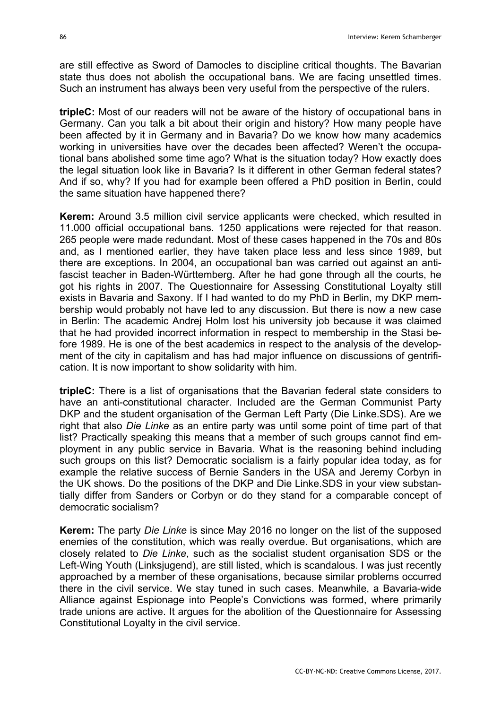are still effective as Sword of Damocles to discipline critical thoughts. The Bavarian state thus does not abolish the occupational bans. We are facing unsettled times. Such an instrument has always been very useful from the perspective of the rulers.

**tripleC:** Most of our readers will not be aware of the history of occupational bans in Germany. Can you talk a bit about their origin and history? How many people have been affected by it in Germany and in Bavaria? Do we know how many academics working in universities have over the decades been affected? Weren't the occupational bans abolished some time ago? What is the situation today? How exactly does the legal situation look like in Bavaria? Is it different in other German federal states? And if so, why? If you had for example been offered a PhD position in Berlin, could the same situation have happened there?

**Kerem:** Around 3.5 million civil service applicants were checked, which resulted in 11.000 official occupational bans. 1250 applications were rejected for that reason. 265 people were made redundant. Most of these cases happened in the 70s and 80s and, as I mentioned earlier, they have taken place less and less since 1989, but there are exceptions. In 2004, an occupational ban was carried out against an antifascist teacher in Baden-Württemberg. After he had gone through all the courts, he got his rights in 2007. The Questionnaire for Assessing Constitutional Loyalty still exists in Bavaria and Saxony. If I had wanted to do my PhD in Berlin, my DKP membership would probably not have led to any discussion. But there is now a new case in Berlin: The academic Andrej Holm lost his university job because it was claimed that he had provided incorrect information in respect to membership in the Stasi before 1989. He is one of the best academics in respect to the analysis of the development of the city in capitalism and has had major influence on discussions of gentrification. It is now important to show solidarity with him.

**tripleC:** There is a list of organisations that the Bavarian federal state considers to have an anti-constitutional character. Included are the German Communist Party DKP and the student organisation of the German Left Party (Die Linke.SDS). Are we right that also *Die Linke* as an entire party was until some point of time part of that list? Practically speaking this means that a member of such groups cannot find employment in any public service in Bavaria. What is the reasoning behind including such groups on this list? Democratic socialism is a fairly popular idea today, as for example the relative success of Bernie Sanders in the USA and Jeremy Corbyn in the UK shows. Do the positions of the DKP and Die Linke.SDS in your view substantially differ from Sanders or Corbyn or do they stand for a comparable concept of democratic socialism?

**Kerem:** The party *Die Linke* is since May 2016 no longer on the list of the supposed enemies of the constitution, which was really overdue. But organisations, which are closely related to *Die Linke*, such as the socialist student organisation SDS or the Left-Wing Youth (Linksjugend), are still listed, which is scandalous. I was just recently approached by a member of these organisations, because similar problems occurred there in the civil service. We stay tuned in such cases. Meanwhile, a Bavaria-wide Alliance against Espionage into People's Convictions was formed, where primarily trade unions are active. It argues for the abolition of the Questionnaire for Assessing Constitutional Loyalty in the civil service.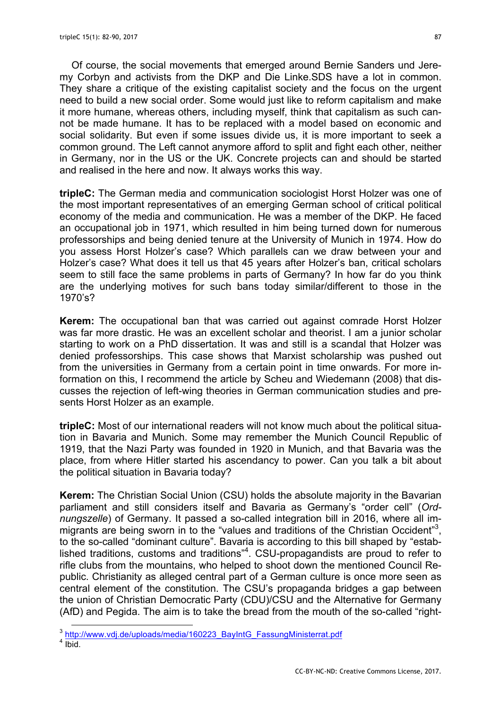Of course, the social movements that emerged around Bernie Sanders und Jeremy Corbyn and activists from the DKP and Die Linke.SDS have a lot in common. They share a critique of the existing capitalist society and the focus on the urgent need to build a new social order. Some would just like to reform capitalism and make it more humane, whereas others, including myself, think that capitalism as such cannot be made humane. It has to be replaced with a model based on economic and social solidarity. But even if some issues divide us, it is more important to seek a common ground. The Left cannot anymore afford to split and fight each other, neither in Germany, nor in the US or the UK. Concrete projects can and should be started and realised in the here and now. It always works this way.

**tripleC:** The German media and communication sociologist Horst Holzer was one of the most important representatives of an emerging German school of critical political economy of the media and communication. He was a member of the DKP. He faced an occupational job in 1971, which resulted in him being turned down for numerous professorships and being denied tenure at the University of Munich in 1974. How do you assess Horst Holzer's case? Which parallels can we draw between your and Holzer's case? What does it tell us that 45 years after Holzer's ban, critical scholars seem to still face the same problems in parts of Germany? In how far do you think are the underlying motives for such bans today similar/different to those in the 1970's?

**Kerem:** The occupational ban that was carried out against comrade Horst Holzer was far more drastic. He was an excellent scholar and theorist. I am a junior scholar starting to work on a PhD dissertation. It was and still is a scandal that Holzer was denied professorships. This case shows that Marxist scholarship was pushed out from the universities in Germany from a certain point in time onwards. For more information on this, I recommend the article by Scheu and Wiedemann (2008) that discusses the rejection of left-wing theories in German communication studies and presents Horst Holzer as an example.

**tripleC:** Most of our international readers will not know much about the political situation in Bavaria and Munich. Some may remember the Munich Council Republic of 1919, that the Nazi Party was founded in 1920 in Munich, and that Bavaria was the place, from where Hitler started his ascendancy to power. Can you talk a bit about the political situation in Bavaria today?

**Kerem:** The Christian Social Union (CSU) holds the absolute majority in the Bavarian parliament and still considers itself and Bavaria as Germany's "order cell" (*Ordnungszelle*) of Germany. It passed a so-called integration bill in 2016, where all immigrants are being sworn in to the "values and traditions of the Christian Occident"<sup>3</sup>, to the so-called "dominant culture". Bavaria is according to this bill shaped by "established traditions, customs and traditions<sup>"4</sup>. CSU-propagandists are proud to refer to rifle clubs from the mountains, who helped to shoot down the mentioned Council Republic. Christianity as alleged central part of a German culture is once more seen as central element of the constitution. The CSU's propaganda bridges a gap between the union of Christian Democratic Party (CDU)/CSU and the Alternative for Germany (AfD) and Pegida. The aim is to take the bread from the mouth of the so-called "right-

 <sup>3</sup> http://www.vdj.de/uploads/media/160223\_BayIntG\_FassungMinisterrat.pdf

 $4 \overline{I}$  Ibid.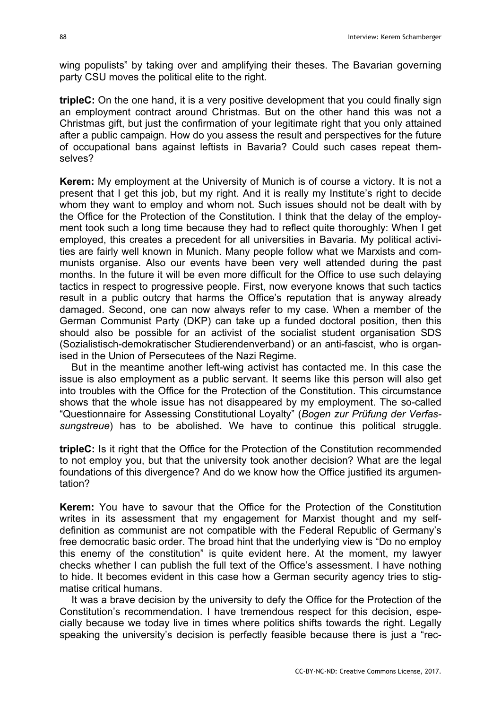wing populists" by taking over and amplifying their theses. The Bavarian governing party CSU moves the political elite to the right.

**tripleC:** On the one hand, it is a very positive development that you could finally sign an employment contract around Christmas. But on the other hand this was not a Christmas gift, but just the confirmation of your legitimate right that you only attained after a public campaign. How do you assess the result and perspectives for the future of occupational bans against leftists in Bavaria? Could such cases repeat themselves?

**Kerem:** My employment at the University of Munich is of course a victory. It is not a present that I get this job, but my right. And it is really my Institute's right to decide whom they want to employ and whom not. Such issues should not be dealt with by the Office for the Protection of the Constitution. I think that the delay of the employment took such a long time because they had to reflect quite thoroughly: When I get employed, this creates a precedent for all universities in Bavaria. My political activities are fairly well known in Munich. Many people follow what we Marxists and communists organise. Also our events have been very well attended during the past months. In the future it will be even more difficult for the Office to use such delaying tactics in respect to progressive people. First, now everyone knows that such tactics result in a public outcry that harms the Office's reputation that is anyway already damaged. Second, one can now always refer to my case. When a member of the German Communist Party (DKP) can take up a funded doctoral position, then this should also be possible for an activist of the socialist student organisation SDS (Sozialistisch-demokratischer Studierendenverband) or an anti-fascist, who is organised in the Union of Persecutees of the Nazi Regime.

But in the meantime another left-wing activist has contacted me. In this case the issue is also employment as a public servant. It seems like this person will also get into troubles with the Office for the Protection of the Constitution. This circumstance shows that the whole issue has not disappeared by my employment. The so-called "Questionnaire for Assessing Constitutional Loyalty" (*Bogen zur Prüfung der Verfassungstreue*) has to be abolished. We have to continue this political struggle.

**tripleC:** Is it right that the Office for the Protection of the Constitution recommended to not employ you, but that the university took another decision? What are the legal foundations of this divergence? And do we know how the Office justified its argumentation?

**Kerem:** You have to savour that the Office for the Protection of the Constitution writes in its assessment that my engagement for Marxist thought and my selfdefinition as communist are not compatible with the Federal Republic of Germany's free democratic basic order. The broad hint that the underlying view is "Do no employ this enemy of the constitution" is quite evident here. At the moment, my lawyer checks whether I can publish the full text of the Office's assessment. I have nothing to hide. It becomes evident in this case how a German security agency tries to stigmatise critical humans.

It was a brave decision by the university to defy the Office for the Protection of the Constitution's recommendation. I have tremendous respect for this decision, especially because we today live in times where politics shifts towards the right. Legally speaking the university's decision is perfectly feasible because there is just a "rec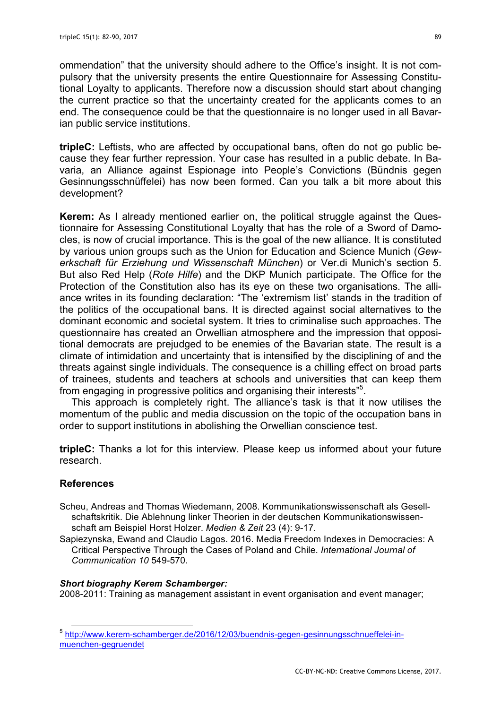ommendation" that the university should adhere to the Office's insight. It is not compulsory that the university presents the entire Questionnaire for Assessing Constitutional Loyalty to applicants. Therefore now a discussion should start about changing the current practice so that the uncertainty created for the applicants comes to an end. The consequence could be that the questionnaire is no longer used in all Bavarian public service institutions.

**tripleC:** Leftists, who are affected by occupational bans, often do not go public because they fear further repression. Your case has resulted in a public debate. In Bavaria, an Alliance against Espionage into People's Convictions (Bündnis gegen Gesinnungsschnüffelei) has now been formed. Can you talk a bit more about this development?

**Kerem:** As I already mentioned earlier on, the political struggle against the Questionnaire for Assessing Constitutional Loyalty that has the role of a Sword of Damocles, is now of crucial importance. This is the goal of the new alliance. It is constituted by various union groups such as the Union for Education and Science Munich (*Gewerkschaft für Erziehung und Wissenschaft München*) or Ver.di Munich's section 5. But also Red Help (*Rote Hilfe*) and the DKP Munich participate. The Office for the Protection of the Constitution also has its eye on these two organisations. The alliance writes in its founding declaration: "The 'extremism list' stands in the tradition of the politics of the occupational bans. It is directed against social alternatives to the dominant economic and societal system. It tries to criminalise such approaches. The questionnaire has created an Orwellian atmosphere and the impression that oppositional democrats are prejudged to be enemies of the Bavarian state. The result is a climate of intimidation and uncertainty that is intensified by the disciplining of and the threats against single individuals. The consequence is a chilling effect on broad parts of trainees, students and teachers at schools and universities that can keep them from engaging in progressive politics and organising their interests"<sup>5</sup>.

This approach is completely right. The alliance's task is that it now utilises the momentum of the public and media discussion on the topic of the occupation bans in order to support institutions in abolishing the Orwellian conscience test.

**tripleC:** Thanks a lot for this interview. Please keep us informed about your future research.

## **References**

- Scheu, Andreas and Thomas Wiedemann, 2008. Kommunikationswissenschaft als Gesellschaftskritik. Die Ablehnung linker Theorien in der deutschen Kommunikationswissenschaft am Beispiel Horst Holzer. *Medien & Zeit* 23 (4): 9-17.
- Sapiezynska, Ewand and Claudio Lagos. 2016. Media Freedom Indexes in Democracies: A Critical Perspective Through the Cases of Poland and Chile. *International Journal of Communication 10* 549-570.

## *Short biography Kerem Schamberger:*

2008-2011: Training as management assistant in event organisation and event manager;

 <sup>5</sup> http://www.kerem-schamberger.de/2016/12/03/buendnis-gegen-gesinnungsschnueffelei-inmuenchen-gegruendet